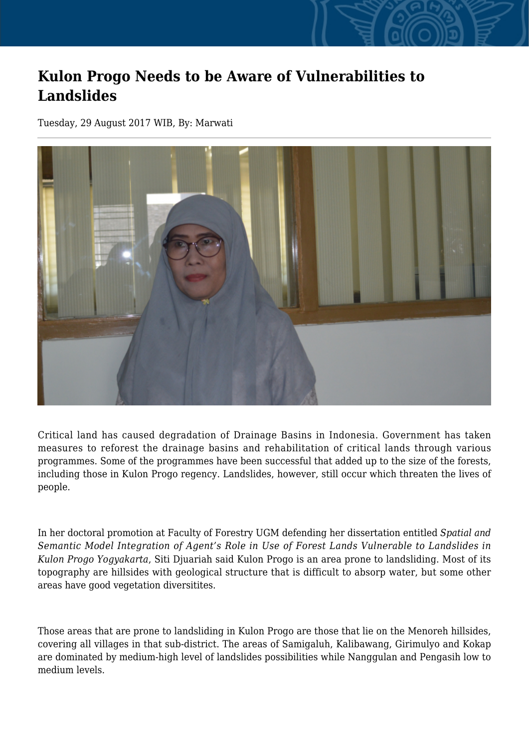## **Kulon Progo Needs to be Aware of Vulnerabilities to Landslides**

Tuesday, 29 August 2017 WIB, By: Marwati



Critical land has caused degradation of Drainage Basins in Indonesia. Government has taken measures to reforest the drainage basins and rehabilitation of critical lands through various programmes. Some of the programmes have been successful that added up to the size of the forests, including those in Kulon Progo regency. Landslides, however, still occur which threaten the lives of people.

In her doctoral promotion at Faculty of Forestry UGM defending her dissertation entitled *Spatial and Semantic Model Integration of Agent's Role in Use of Forest Lands Vulnerable to Landslides in Kulon Progo Yogyakarta*, Siti Djuariah said Kulon Progo is an area prone to landsliding. Most of its topography are hillsides with geological structure that is difficult to absorp water, but some other areas have good vegetation diversitites.

Those areas that are prone to landsliding in Kulon Progo are those that lie on the Menoreh hillsides, covering all villages in that sub-district. The areas of Samigaluh, Kalibawang, Girimulyo and Kokap are dominated by medium-high level of landslides possibilities while Nanggulan and Pengasih low to medium levels.